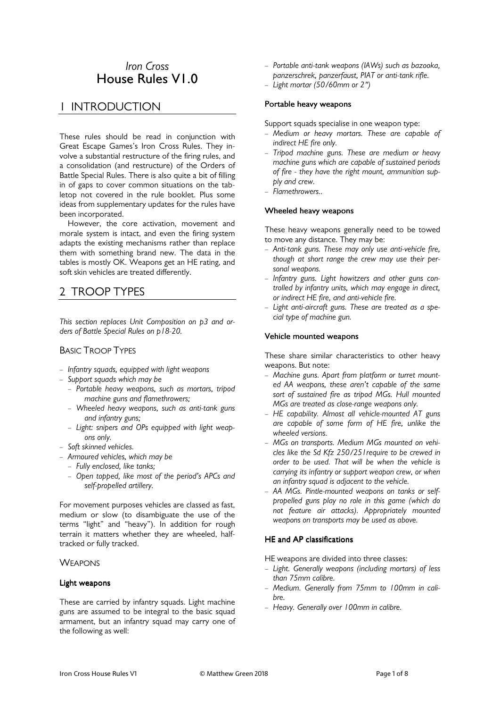# *Iron Cross*  House Rules V1.0

# 1 INTRODUCTION

These rules should be read in conjunction with Great Escape Games's Iron Cross Rules. They involve a substantial restructure of the firing rules, and a consolidation (and restructure) of the Orders of Battle Special Rules. There is also quite a bit of filling in of gaps to cover common situations on the tabletop not covered in the rule booklet. Plus some ideas from supplementary updates for the rules have been incorporated.

 However, the core activation, movement and morale system is intact, and even the firing system adapts the existing mechanisms rather than replace them with something brand new. The data in the tables is mostly OK. Weapons get an HE rating, and soft skin vehicles are treated differently.

# 2 TROOP TYPES

*This section replaces Unit Composition on p3 and orders of Battle Special Rules on p18-20.* 

# BASIC TROOP TYPES

- *Infantry squads, equipped with light weapons*
- *Support squads which may be* 
	- *Portable heavy weapons, such as mortars, tripod machine guns and flamethrowers;*
	- *Wheeled heavy weapons, such as anti-tank guns and infantry guns;*
	- *Light: snipers and OPs equipped with light weapons only.*
- *Soft skinned vehicles.*
- *Armoured vehicles, which may be* 
	- *Fully enclosed, like tanks;*
	- *Open topped, like most of the period's APCs and self-propelled artillery.*

For movement purposes vehicles are classed as fast, medium or slow (to disambiguate the use of the terms "light" and "heavy"). In addition for rough terrain it matters whether they are wheeled, halftracked or fully tracked.

## **WEAPONS**

## Light weapons

These are carried by infantry squads. Light machine guns are assumed to be integral to the basic squad armament, but an infantry squad may carry one of the following as well:

- *Portable anti-tank weapons (IAWs) such as bazooka, panzerschrek, panzerfaust, PIAT or anti-tank rifle.*
- *Light mortar (50/60mm or 2″)*

#### Portable heavy weapons

Support squads specialise in one weapon type:

- *Medium or heavy mortars. These are capable of indirect HE fire only.*
- *Tripod machine guns. These are medium or heavy machine guns which are capable of sustained periods of fire - they have the right mount, ammunition supply and crew.*
- *Flamethrowers..*

## Wheeled heavy weapons

These heavy weapons generally need to be towed to move any distance. They may be:

- *Anti-tank guns. These may only use anti-vehicle fire, though at short range the crew may use their personal weapons.*
- *Infantry guns. Light howitzers and other guns controlled by infantry units, which may engage in direct, or indirect HE fire, and anti-vehicle fire.*
- *Light anti-aircraft guns. These are treated as a special type of machine gun.*

#### Vehicle mounted weapons

These share similar characteristics to other heavy weapons. But note:

- *Machine guns. Apart from platform or turret mounted AA weapons, these aren't capable of the same sort of sustained fire as tripod MGs. Hull mounted MGs are treated as close-range weapons only.*
- *HE capability. Almost all vehicle-mounted AT guns are capable of some form of HE fire, unlike the wheeled versions.*
- *MGs on transports. Medium MGs mounted on vehicles like the Sd Kfz 250/251require to be crewed in order to be used. That will be when the vehicle is carrying its infantry or support weapon crew, or when an infantry squad is adjacent to the vehicle.*
- *AA MGs. Pintle-mounted weapons on tanks or selfpropelled guns play no role in this game (which do not feature air attacks). Appropriately mounted weapons on transports may be used as above.*

## HE and AP classifications

HE weapons are divided into three classes:

- *Light. Generally weapons (including mortars) of less than 75mm calibre.*
- *Medium. Generally from 75mm to 100mm in calibre.*
- *Heavy. Generally over 100mm in calibre.*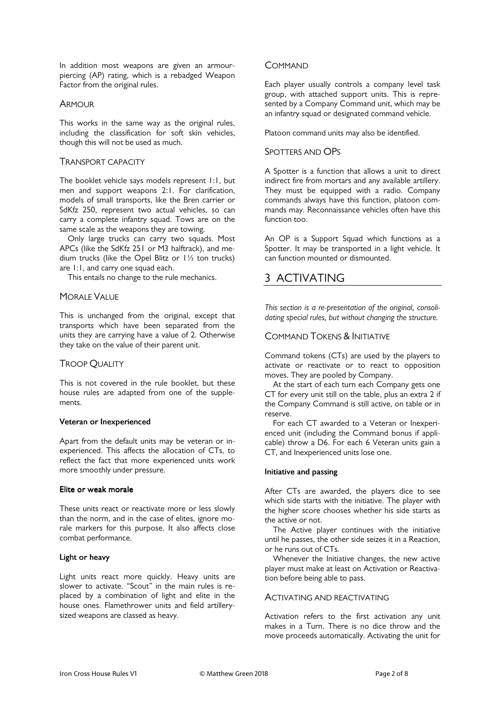In addition most weapons are given an armourpiercing (AP) rating, which is a rebadged Weapon Factor from the original rules.

## **ARMOUR**

This works in the same way as the original rules, including the classification for soft skin vehicles, though this will not be used as much.

# TRANSPORT CAPACITY

The booklet vehicle says models represent 1:1, but men and support weapons 2:1. For clarification, models of small transports, like the Bren carrier or SdKfz 250, represent two actual vehicles, so can carry a complete infantry squad. Tows are on the same scale as the weapons they are towing.

 Only large trucks can carry two squads. Most APCs (like the SdKfz 251 or M3 halftrack), and medium trucks (like the Opel Blitz or 1½ ton trucks) are 1:1, and carry one squad each.

This entails no change to the rule mechanics.

## MORALE VALUE

This is unchanged from the original, except that transports which have been separated from the units they are carrying have a value of 2. Otherwise they take on the value of their parent unit.

# TROOP QUALITY

This is not covered in the rule booklet, but these house rules are adapted from one of the supplements.

## Veteran or Inexperienced

Apart from the default units may be veteran or inexperienced. This affects the allocation of CTs, to reflect the fact that more experienced units work more smoothly under pressure.

## Elite or weak morale

These units react or reactivate more or less slowly than the norm, and in the case of elites, ignore morale markers for this purpose. It also affects close combat performance.

## Light or heavy

Light units react more quickly. Heavy units are slower to activate. "Scout" in the main rules is replaced by a combination of light and elite in the house ones. Flamethrower units and field artillerysized weapons are classed as heavy.

## **COMMAND**

Each player usually controls a company level task group, with attached support units. This is represented by a Company Command unit, which may be an infantry squad or designated command vehicle.

Platoon command units may also be identified.

## SPOTTERS AND OPS

A Spotter is a function that allows a unit to direct indirect fire from mortars and any available artillery. They must be equipped with a radio. Company commands always have this function, platoon commands may. Reconnaissance vehicles often have this function too.

An OP is a Support Squad which functions as a Spotter. It may be transported in a light vehicle. It can function mounted or dismounted.

# 3 ACTIVATING

*This section is a re-presentation of the original, consolidating special rules, but without changing the structure.* 

# COMMAND TOKENS & INITIATIVE

Command tokens (CTs) are used by the players to activate or reactivate or to react to opposition moves. They are pooled by Company.

 At the start of each turn each Company gets one CT for every unit still on the table, plus an extra 2 if the Company Command is still active, on table or in reserve.

 For each CT awarded to a Veteran or Inexperienced unit (including the Command bonus if applicable) throw a D6. For each 6 Veteran units gain a CT, and Inexperienced units lose one.

#### Initiative and passing

After CTs are awarded, the players dice to see which side starts with the initiative. The player with the higher score chooses whether his side starts as the active or not.

 The Active player continues with the initiative until he passes, the other side seizes it in a Reaction, or he runs out of CTs.

 Whenever the Initiative changes, the new active player must make at least on Activation or Reactivation before being able to pass.

#### ACTIVATING AND REACTIVATING

Activation refers to the first activation any unit makes in a Turn. There is no dice throw and the move proceeds automatically. Activating the unit for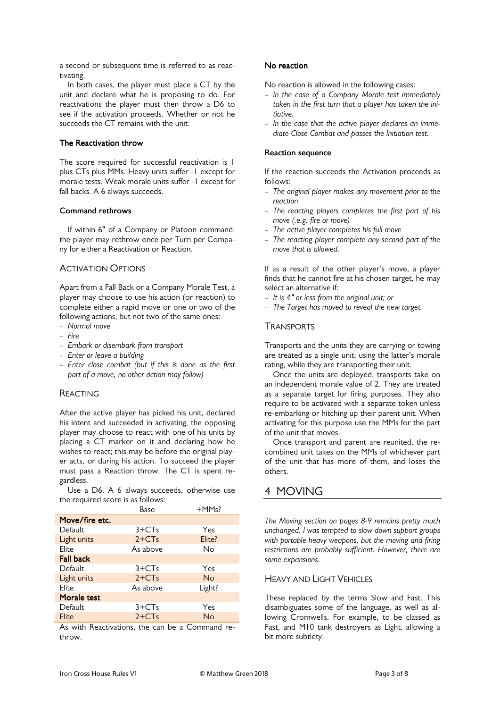a second or subsequent time is referred to as reactivating.

 In both cases, the player must place a CT by the unit and declare what he is proposing to do. For reactivations the player must then throw a D6 to see if the activation proceeds. Whether or not he succeeds the CT remains with the unit.

## The Reactivation throw

The score required for successful reactivation is 1 plus CTs plus MMs. Heavy units suffer -1 except for morale tests. Weak morale units suffer -1 except for fall backs. A 6 always succeeds.

## Command rethrows

If within 6" of a Company or Platoon command, the player may rethrow once per Turn per Company for either a Reactivation or Reaction.

# ACTIVATION OPTIONS

Apart from a Fall Back or a Company Morale Test, a player may choose to use his action (or reaction) to complete either a rapid move or one or two of the following actions, but not two of the same ones:

- *Normal move*
- *Fire*
- *Embark or disembark from transport*
- *Enter or leave a building*
- *Enter close combat (but if this is done as the first part of a move, no other action may follow)*

# REACTING

After the active player has picked his unit, declared his intent and succeeded in activating, the opposing player may choose to react with one of his units by placing a CT marker on it and declaring how he wishes to react; this may be before the original player acts, or during his action. To succeed the player must pass a Reaction throw. The CT is spent regardless.

 Use a D6. A 6 always succeeds, otherwise use the required score is as follows:

|                  | Base     | +MMs?     |
|------------------|----------|-----------|
| Move/fire etc.   |          |           |
| <b>Default</b>   | $3+CTs$  | Yes       |
| Light units      | $2+C$ Ts | Elite?    |
| Elite            | As above | No        |
| <b>Fall back</b> |          |           |
| Default          | $3+CTs$  | Yes       |
| Light units      | $2+C$ Ts | <b>No</b> |
| Elite            | As above | Light?    |
| Morale test      |          |           |
| Default          | $3+CTs$  | Yes       |
| Elite            | $2+C$ Ts | No        |

As with Reactivations, the can be a Command rethrow.

## No reaction

No reaction is allowed in the following cases:

- *In the case of a Company Morale test immediately taken in the first turn that a player has taken the initiative.*
- *In the case that the active player declares an immediate Close Combat and passes the Initiation test.*

## **Reaction sequence**

If the reaction succeeds the Activation proceeds as follows:

- *The original player makes any movement prior to the reaction*
- *The reacting players completes the first part of his move (.e.g. fire or move)*
- *The active player completes his full move*
- *The reacting player complete any second part of the move that is allowed.*

If as a result of the other player's move, a player finds that he cannot fire at his chosen target, he may select an alternative if:

- *It is 4ʺ or less from the original unit; or*
- *The Target has moved to reveal the new target.*

# **TRANSPORTS**

Transports and the units they are carrying or towing are treated as a single unit, using the latter's morale rating, while they are transporting their unit.

 Once the units are deployed, transports take on an independent morale value of 2. They are treated as a separate target for firing purposes. They also require to be activated with a separate token unless re-embarking or hitching up their parent unit. When activating for this purpose use the MMs for the part of the unit that moves.

 Once transport and parent are reunited, the recombined unit takes on the MMs of whichever part of the unit that has more of them, and loses the others.

# 4 MOVING

*The Moving section on pages 8-9 remains pretty much unchanged. I was tempted to slow down support groups with portable heavy weapons, but the moving and firing restrictions are probably sufficient. However, there are some expansions.* 

# HEAVY AND LIGHT VEHICLES

These replaced by the terms Slow and Fast. This disambiguates some of the language, as well as allowing Cromwells. For example, to be classed as Fast, and M10 tank destroyers as Light, allowing a bit more subtlety.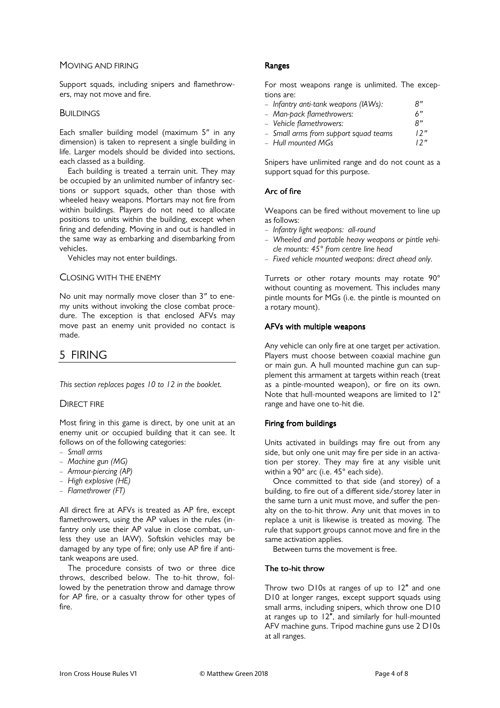## MOVING AND FIRING

Support squads, including snipers and flamethrowers, may not move and fire.

#### **BUILDINGS**

Each smaller building model (maximum 5″ in any dimension) is taken to represent a single building in life. Larger models should be divided into sections, each classed as a building.

 Each building is treated a terrain unit. They may be occupied by an unlimited number of infantry sections or support squads, other than those with wheeled heavy weapons. Mortars may not fire from within buildings. Players do not need to allocate positions to units within the building, except when firing and defending. Moving in and out is handled in the same way as embarking and disembarking from vehicles.

Vehicles may not enter buildings.

#### CLOSING WITH THE ENEMY

No unit may normally move closer than 3″ to enemy units without invoking the close combat procedure. The exception is that enclosed AFVs may move past an enemy unit provided no contact is made.

# 5 FIRING

*This section replaces pages 10 to 12 in the booklet.* 

## **DIRECT FIRE**

Most firing in this game is direct, by one unit at an enemy unit or occupied building that it can see. It follows on of the following categories:

- *Small arms*
- *Machine gun (MG)*
- *Armour-piercing (AP)*
- *High explosive (HE)*
- *Flamethrower (FT)*

All direct fire at AFVs is treated as AP fire, except flamethrowers, using the AP values in the rules (infantry only use their AP value in close combat, unless they use an IAW). Softskin vehicles may be damaged by any type of fire; only use AP fire if antitank weapons are used.

 The procedure consists of two or three dice throws, described below. The to-hit throw, followed by the penetration throw and damage throw for AP fire, or a casualty throw for other types of fire.

## Ranges

For most weapons range is unlimited. The exceptions are:

| - Infantry anti-tank weapons (IAWs):  | R'' |
|---------------------------------------|-----|
| – Man-pack flamethrowers:             | 6"  |
| - Vehicle flamethrowers:              | R'' |
| - Small arms from support squad teams | 12" |
| – Hull mounted MGs                    | 12" |

Snipers have unlimited range and do not count as a support squad for this purpose.

## Arc of fire

Weapons can be fired without movement to line up as follows:

- *Infantry light weapons: all-round*
- *Wheeled and portable heavy weapons or pintle vehicle mounts: 45° from centre line head*
- *Fixed vehicle mounted weapons: direct ahead only.*

Turrets or other rotary mounts may rotate 90° without counting as movement. This includes many pintle mounts for MGs (i.e. the pintle is mounted on a rotary mount).

#### AFVs with multiple weapons

Any vehicle can only fire at one target per activation. Players must choose between coaxial machine gun or main gun. A hull mounted machine gun can supplement this armament at targets within reach (treat as a pintle-mounted weapon), or fire on its own. Note that hull-mounted weapons are limited to 12" range and have one to-hit die.

## Firing from buildings

Units activated in buildings may fire out from any side, but only one unit may fire per side in an activation per storey. They may fire at any visible unit within a 90° arc (i.e. 45° each side).

 Once committed to that side (and storey) of a building, to fire out of a different side/storey later in the same turn a unit must move, and suffer the penalty on the to-hit throw. Any unit that moves in to replace a unit is likewise is treated as moving. The rule that support groups cannot move and fire in the same activation applies.

Between turns the movement is free.

## The to-hit throw

Throw two D10s at ranges of up to 12″ and one D10 at longer ranges, except support squads using small arms, including snipers, which throw one D10 at ranges up to 12″, and similarly for hull-mounted AFV machine guns. Tripod machine guns use 2 D10s at all ranges.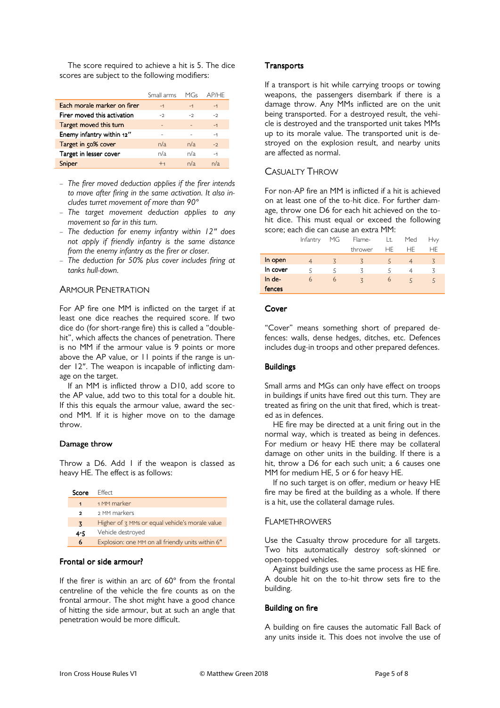The score required to achieve a hit is 5. The dice scores are subject to the following modifiers:

|                             | Small arms | MGs  | AP/HF |
|-----------------------------|------------|------|-------|
| Each morale marker on firer | $-1$       | $-1$ | $-1$  |
| Firer moved this activation | $-2$       | $-2$ | $-2$  |
| Target moved this turn      |            |      | $-1$  |
| Enemy infantry within 12"   |            |      | $-1$  |
| Target in 50% cover         | n/a        | n/a  | $-2$  |
| Target in lesser cover      | n/a        | n/a  | $-1$  |
| Sniper                      | $+4$       | n/a  | n/a   |

- *The firer moved deduction applies if the firer intends to move after firing in the same activation. It also includes turret movement of more than 90°*
- *The target movement deduction applies to any movement so far in this turn.*
- *The deduction for enemy infantry within 12″ does not apply if friendly infantry is the same distance from the enemy infantry as the firer or closer.*
- *The deduction for 50% plus cover includes firing at tanks hull-down.*

# ARMOUR PENETRATION

For AP fire one MM is inflicted on the target if at least one dice reaches the required score. If two dice do (for short-range fire) this is called a "doublehit", which affects the chances of penetration. There is no MM if the armour value is 9 points or more above the AP value, or 11 points if the range is under 12″. The weapon is incapable of inflicting damage on the target.

 If an MM is inflicted throw a D10, add score to the AP value, add two to this total for a double hit. If this this equals the armour value, award the second MM. If it is higher move on to the damage throw.

#### Damage throw

Throw a D6. Add 1 if the weapon is classed as heavy HE. The effect is as follows:

| Score   | <b>Fffect</b>                                     |
|---------|---------------------------------------------------|
| 1       | 1 MM marker                                       |
| ,       | 2 MM markers                                      |
| 3       | Higher of z MMs or equal vehicle's morale value   |
| $4 - 5$ | Vehicle destroyed                                 |
| 6       | Explosion: one MM on all friendly units within 6" |

#### Frontal or side armour?

If the firer is within an arc of 60° from the frontal centreline of the vehicle the fire counts as on the frontal armour. The shot might have a good chance of hitting the side armour, but at such an angle that penetration would be more difficult.

#### **Transports**

If a transport is hit while carrying troops or towing weapons, the passengers disembark if there is a damage throw. Any MMs inflicted are on the unit being transported. For a destroyed result, the vehicle is destroyed and the transported unit takes MMs up to its morale value. The transported unit is destroyed on the explosion result, and nearby units are affected as normal.

# CASUALTY THROW

For non-AP fire an MM is inflicted if a hit is achieved on at least one of the to-hit dice. For further damage, throw one D6 for each hit achieved on the tohit dice. This must equal or exceed the following score; each die can cause an extra MM:

|          | Infantry | MG             | Flame-                       | Lt. | Med | <b>Hvy</b>     |
|----------|----------|----------------|------------------------------|-----|-----|----------------|
|          |          |                | thrower                      | HF. | НF  | HF.            |
| In open  |          | $\overline{5}$ | $\left\langle \right\rangle$ |     |     | $\overline{5}$ |
| In cover |          | 5              |                              |     |     |                |
| In de-   | 6        | 6              | $\overline{z}$               | 6   |     |                |
| fences   |          |                |                              |     |     |                |

#### Cover

"Cover" means something short of prepared defences: walls, dense hedges, ditches, etc. Defences includes dug-in troops and other prepared defences.

#### **Buildings**

Small arms and MGs can only have effect on troops in buildings if units have fired out this turn. They are treated as firing on the unit that fired, which is treated as in defences.

 HE fire may be directed at a unit firing out in the normal way, which is treated as being in defences. For medium or heavy HE there may be collateral damage on other units in the building. If there is a hit, throw a D6 for each such unit; a 6 causes one MM for medium HE, 5 or 6 for heavy HE.

 If no such target is on offer, medium or heavy HE fire may be fired at the building as a whole. If there is a hit, use the collateral damage rules.

## FLAMETHROWERS

Use the Casualty throw procedure for all targets. Two hits automatically destroy soft-skinned or open-topped vehicles.

 Against buildings use the same process as HE fire. A double hit on the to-hit throw sets fire to the building.

#### **Building on fire**

A building on fire causes the automatic Fall Back of any units inside it. This does not involve the use of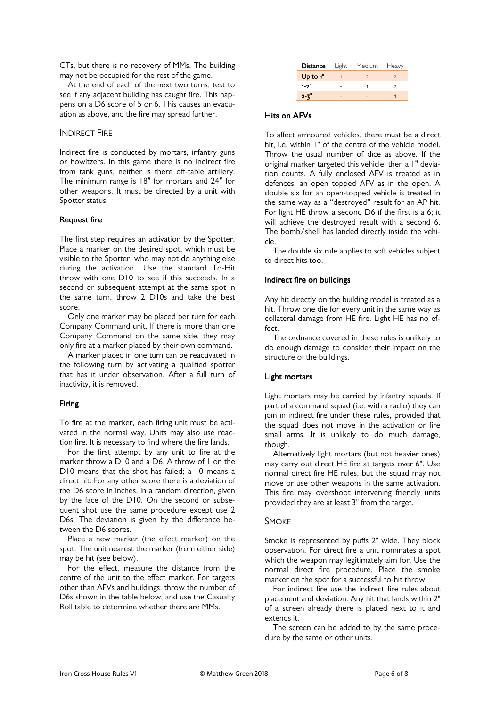CTs, but there is no recovery of MMs. The building may not be occupied for the rest of the game.

 At the end of each of the next two turns, test to see if any adjacent building has caught fire. This happens on a D6 score of 5 or 6. This causes an evacuation as above, and the fire may spread further.

# INDIRECT FIRE

Indirect fire is conducted by mortars, infantry guns or howitzers. In this game there is no indirect fire from tank guns, neither is there off-table artillery. The minimum range is 18″ for mortars and 24″ for other weapons. It must be directed by a unit with Spotter status.

## **Request fire**

The first step requires an activation by the Spotter. Place a marker on the desired spot, which must be visible to the Spotter, who may not do anything else during the activation.. Use the standard To-Hit throw with one D10 to see if this succeeds. In a second or subsequent attempt at the same spot in the same turn, throw 2 D10s and take the best score.

 Only one marker may be placed per turn for each Company Command unit. If there is more than one Company Command on the same side, they may only fire at a marker placed by their own command.

 A marker placed in one turn can be reactivated in the following turn by activating a qualified spotter that has it under observation. After a full turn of inactivity, it is removed.

## Firing

To fire at the marker, each firing unit must be activated in the normal way. Units may also use reaction fire. It is necessary to find where the fire lands.

 For the first attempt by any unit to fire at the marker throw a D10 and a D6. A throw of 1 on the D10 means that the shot has failed; a 10 means a direct hit. For any other score there is a deviation of the D6 score in inches, in a random direction, given by the face of the D10. On the second or subsequent shot use the same procedure except use 2 D6s. The deviation is given by the difference between the D6 scores.

 Place a new marker (the effect marker) on the spot. The unit nearest the marker (from either side) may be hit (see below).

 For the effect, measure the distance from the centre of the unit to the effect marker. For targets other than AFVs and buildings, throw the number of D6s shown in the table below, and use the Casualty Roll table to determine whether there are MMs.

|             | <b>Distance</b> Light Medium | Heavy |
|-------------|------------------------------|-------|
| Up to $1$ " | っ                            |       |
| $1 - 2$     |                              | っ     |
| $2 - 7$     |                              |       |

## Hits on AFVs

To affect armoured vehicles, there must be a direct hit, i.e. within 1" of the centre of the vehicle model. Throw the usual number of dice as above. If the original marker targeted this vehicle, then a I" deviation counts. A fully enclosed AFV is treated as in defences; an open topped AFV as in the open. A double six for an open-topped vehicle is treated in the same way as a "destroyed" result for an AP hit. For light HE throw a second D6 if the first is a 6; it will achieve the destroyed result with a second 6. The bomb/shell has landed directly inside the vehicle.

 The double six rule applies to soft vehicles subject to direct hits too.

## Indirect fire on buildings

Any hit directly on the building model is treated as a hit. Throw one die for every unit in the same way as collateral damage from HE fire. Light HE has no effect.

 The ordnance covered in these rules is unlikely to do enough damage to consider their impact on the structure of the buildings.

## Light mortars

Light mortars may be carried by infantry squads. If part of a command squad (i.e. with a radio) they can join in indirect fire under these rules, provided that the squad does not move in the activation or fire small arms. It is unlikely to do much damage, though.

 Alternatively light mortars (but not heavier ones) may carry out direct HE fire at targets over 6". Use normal direct fire HE rules, but the squad may not move or use other weapons in the same activation. This fire may overshoot intervening friendly units provided they are at least 3" from the target.

## **SMOKE**

Smoke is represented by puffs 2" wide. They block observation. For direct fire a unit nominates a spot which the weapon may legitimately aim for. Use the normal direct fire procedure. Place the smoke marker on the spot for a successful to-hit throw.

 For indirect fire use the indirect fire rules about placement and deviation. Any hit that lands within 2" of a screen already there is placed next to it and extends it.

 The screen can be added to by the same procedure by the same or other units.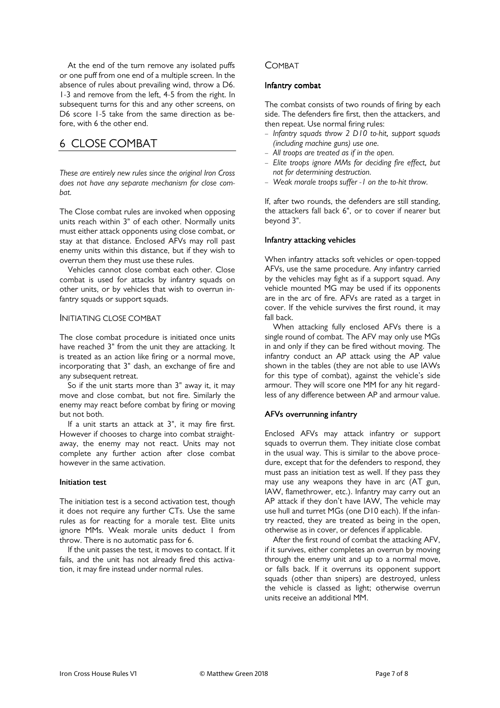At the end of the turn remove any isolated puffs or one puff from one end of a multiple screen. In the absence of rules about prevailing wind, throw a D6. 1-3 and remove from the left, 4-5 from the right. In subsequent turns for this and any other screens, on D6 score 1-5 take from the same direction as before, with 6 the other end.

# 6 CLOSE COMBAT

*These are entirely new rules since the original Iron Cross does not have any separate mechanism for close combat.* 

The Close combat rules are invoked when opposing units reach within 3" of each other. Normally units must either attack opponents using close combat, or stay at that distance. Enclosed AFVs may roll past enemy units within this distance, but if they wish to overrun them they must use these rules.

 Vehicles cannot close combat each other. Close combat is used for attacks by infantry squads on other units, or by vehicles that wish to overrun infantry squads or support squads.

#### INITIATING CLOSE COMBAT

The close combat procedure is initiated once units have reached 3" from the unit they are attacking. It is treated as an action like firing or a normal move, incorporating that 3" dash, an exchange of fire and any subsequent retreat.

 So if the unit starts more than 3" away it, it may move and close combat, but not fire. Similarly the enemy may react before combat by firing or moving but not both.

 If a unit starts an attack at 3", it may fire first. However if chooses to charge into combat straightaway, the enemy may not react. Units may not complete any further action after close combat however in the same activation.

## Initiation test

The initiation test is a second activation test, though it does not require any further CTs. Use the same rules as for reacting for a morale test. Elite units ignore MMs. Weak morale units deduct 1 from throw. There is no automatic pass for 6.

 If the unit passes the test, it moves to contact. If it fails, and the unit has not already fired this activation, it may fire instead under normal rules.

## COMBAT

#### Infantry combat

The combat consists of two rounds of firing by each side. The defenders fire first, then the attackers, and then repeat. Use normal firing rules:

- *Infantry squads throw 2 D10 to-hit, support squads (including machine guns) use one.*
- *All troops are treated as if in the open.*
- *Elite troops ignore MMs for deciding fire effect, but not for determining destruction.*
- *Weak morale troops suffer -1 on the to-hit throw.*

If, after two rounds, the defenders are still standing, the attackers fall back 6", or to cover if nearer but beyond 3".

#### Infantry attacking vehicles

When infantry attacks soft vehicles or open-topped AFVs, use the same procedure. Any infantry carried by the vehicles may fight as if a support squad. Any vehicle mounted MG may be used if its opponents are in the arc of fire. AFVs are rated as a target in cover. If the vehicle survives the first round, it may fall back.

 When attacking fully enclosed AFVs there is a single round of combat. The AFV may only use MGs in and only if they can be fired without moving. The infantry conduct an AP attack using the AP value shown in the tables (they are not able to use IAWs for this type of combat), against the vehicle's side armour. They will score one MM for any hit regardless of any difference between AP and armour value.

#### AFVs overrunning infantry

Enclosed AFVs may attack infantry or support squads to overrun them. They initiate close combat in the usual way. This is similar to the above procedure, except that for the defenders to respond, they must pass an initiation test as well. If they pass they may use any weapons they have in arc (AT gun, IAW, flamethrower, etc.). Infantry may carry out an AP attack if they don't have IAW, The vehicle may use hull and turret MGs (one D10 each). If the infantry reacted, they are treated as being in the open, otherwise as in cover, or defences if applicable.

 After the first round of combat the attacking AFV, if it survives, either completes an overrun by moving through the enemy unit and up to a normal move, or falls back. If it overruns its opponent support squads (other than snipers) are destroyed, unless the vehicle is classed as light; otherwise overrun units receive an additional MM.